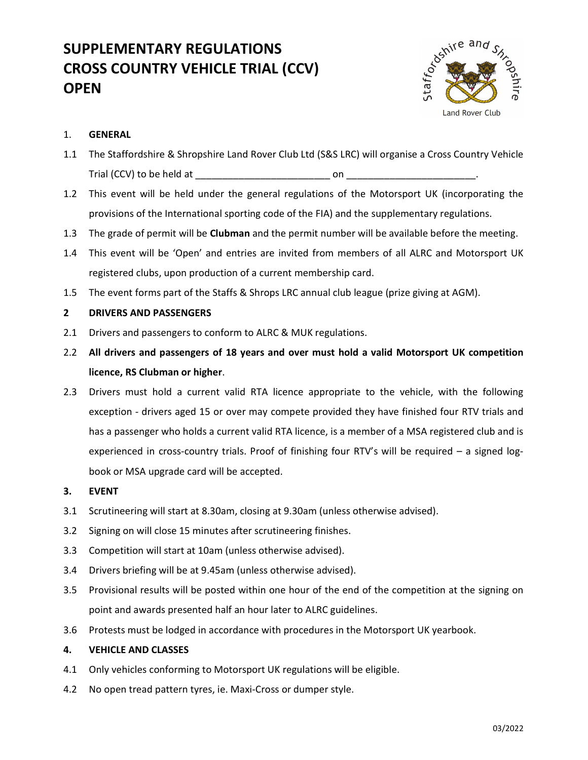# SUPPLEMENTARY REGULATIONS CROSS COUNTRY VEHICLE TRIAL (CCV) **OPEN**



# 1. GENERAL

- 1.1 The Staffordshire & Shropshire Land Rover Club Ltd (S&S LRC) will organise a Cross Country Vehicle Trial (CCV) to be held at \_\_\_\_\_\_\_\_\_\_\_\_\_\_\_\_\_\_\_\_\_\_\_\_\_ on \_\_\_\_\_\_\_\_\_\_\_\_\_\_\_\_\_\_\_\_\_\_\_\_.
- 1.2 This event will be held under the general regulations of the Motorsport UK (incorporating the provisions of the International sporting code of the FIA) and the supplementary regulations.
- 1.3 The grade of permit will be **Clubman** and the permit number will be available before the meeting.
- 1.4 This event will be 'Open' and entries are invited from members of all ALRC and Motorsport UK registered clubs, upon production of a current membership card.
- 1.5 The event forms part of the Staffs & Shrops LRC annual club league (prize giving at AGM).

## 2 DRIVERS AND PASSENGERS

- 2.1 Drivers and passengers to conform to ALRC & MUK regulations.
- 2.2 All drivers and passengers of 18 years and over must hold a valid Motorsport UK competition licence, RS Clubman or higher.
- 2.3 Drivers must hold a current valid RTA licence appropriate to the vehicle, with the following exception - drivers aged 15 or over may compete provided they have finished four RTV trials and has a passenger who holds a current valid RTA licence, is a member of a MSA registered club and is experienced in cross-country trials. Proof of finishing four RTV's will be required – a signed logbook or MSA upgrade card will be accepted.
- 3. EVENT
- 3.1 Scrutineering will start at 8.30am, closing at 9.30am (unless otherwise advised).
- 3.2 Signing on will close 15 minutes after scrutineering finishes.
- 3.3 Competition will start at 10am (unless otherwise advised).
- 3.4 Drivers briefing will be at 9.45am (unless otherwise advised).
- 3.5 Provisional results will be posted within one hour of the end of the competition at the signing on point and awards presented half an hour later to ALRC guidelines.
- 3.6 Protests must be lodged in accordance with procedures in the Motorsport UK yearbook.

#### 4. VEHICLE AND CLASSES

- 4.1 Only vehicles conforming to Motorsport UK regulations will be eligible.
- 4.2 No open tread pattern tyres, ie. Maxi-Cross or dumper style.